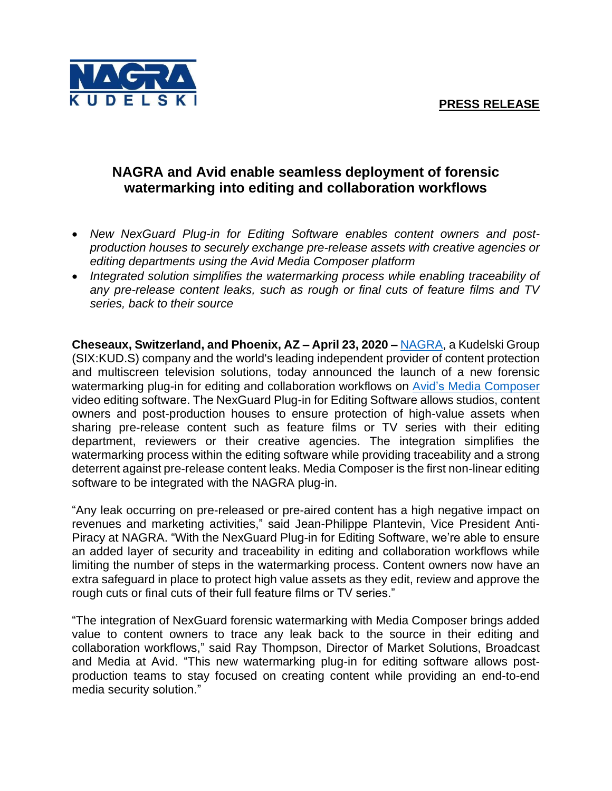

## **NAGRA and Avid enable seamless deployment of forensic watermarking into editing and collaboration workflows**

- *New NexGuard Plug-in for Editing Software enables content owners and postproduction houses to securely exchange pre-release assets with creative agencies or editing departments using the Avid Media Composer platform*
- Integrated solution simplifies the watermarking process while enabling traceability of *any pre-release content leaks, such as rough or final cuts of feature films and TV series, back to their source*

**Cheseaux, Switzerland, and Phoenix, AZ – April 23, 2020 –** [NAGRA,](https://dtv.nagra.com/) a Kudelski Group (SIX:KUD.S) company and the world's leading independent provider of content protection and multiscreen television solutions, today announced the launch of a new forensic watermarking plug-in for editing and collaboration workflows on Avid's Media [Composer](https://www.avid.com/media-composer) video editing software. The NexGuard Plug-in for Editing Software allows studios, content owners and post-production houses to ensure protection of high-value assets when sharing pre-release content such as feature films or TV series with their editing department, reviewers or their creative agencies. The integration simplifies the watermarking process within the editing software while providing traceability and a strong deterrent against pre-release content leaks. Media Composer is the first non-linear editing software to be integrated with the NAGRA plug-in.

"Any leak occurring on pre-released or pre-aired content has a high negative impact on revenues and marketing activities," said Jean-Philippe Plantevin, Vice President Anti-Piracy at NAGRA. "With the NexGuard Plug-in for Editing Software, we're able to ensure an added layer of security and traceability in editing and collaboration workflows while limiting the number of steps in the watermarking process. Content owners now have an extra safeguard in place to protect high value assets as they edit, review and approve the rough cuts or final cuts of their full feature films or TV series."

"The integration of NexGuard forensic watermarking with Media Composer brings added value to content owners to trace any leak back to the source in their editing and collaboration workflows," said Ray Thompson, Director of Market Solutions, Broadcast and Media at Avid. "This new watermarking plug-in for editing software allows postproduction teams to stay focused on creating content while providing an end-to-end media security solution."